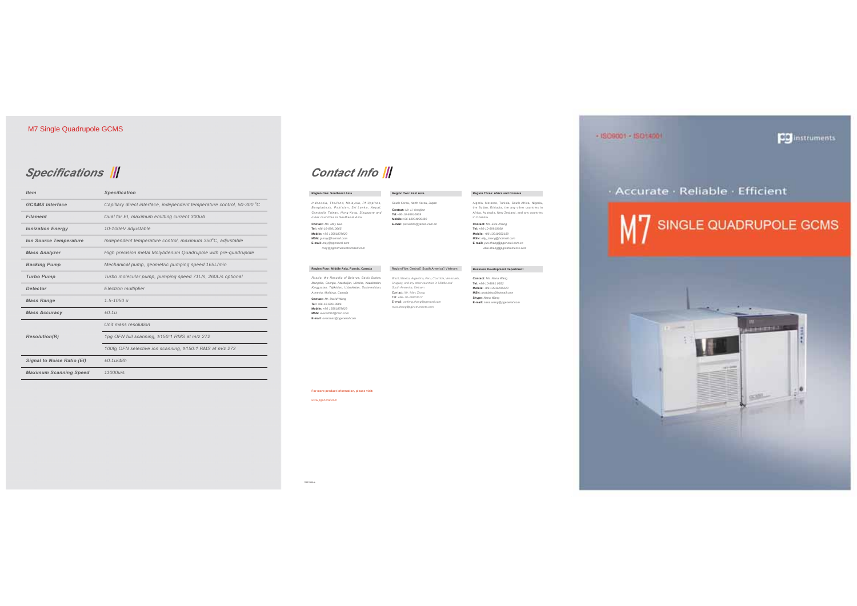## *Specifications* ||

| <b>Item</b>                   | <b>Specification</b>                                                   |  |
|-------------------------------|------------------------------------------------------------------------|--|
| <b>GC&amp;MS</b> Interface    | Capillary direct interface, independent temperature control, 50-300 °C |  |
| <b>Filament</b>               | Dual for EI, maximum emitting current 300uA                            |  |
| <b>Ionization Energy</b>      | 10-100eV adjustable                                                    |  |
| <b>Ion Source Temperature</b> | Independent temperature control, maximum 350°C, adjustable             |  |
| <b>Mass Analyzer</b>          | High precision metal Molybdenum Quadrupole with pre-quadrupole         |  |
| <b>Backing Pump</b>           | Mechanical pump, geometric pumping speed 165L/min                      |  |
| <b>Turbo Pump</b>             | Turbo molecular pump, pumping speed 71L/s, 260L/s optional             |  |
| <b>Detector</b>               | Electron multiplier                                                    |  |
| <b>Mass Range</b>             | $1.5 - 1050$ u                                                         |  |
| <b>Mass Accuracy</b>          | $+0.1u$                                                                |  |
| <b>Resolution(R)</b>          | Unit mass resolution                                                   |  |
|                               | 1pg OFN full scanning, ≥150:1 RMS at m/z 272                           |  |
|                               | 100fg OFN selective ion scanning, ≥150:1 RMS at m/z 272                |  |
| Signal to Noise Ratio (EI)    | $+0.11/48h$                                                            |  |
| <b>Maximum Scanning Speed</b> | 11000 u/s                                                              |  |

#### Contact Info

| Region One: Southeast Asia                                                                                                                                                                                                                                                                                                       | Region Two: East Asia                                                                                                                                                                                                                                       | Region Three: Africa and Oceania                                                                                                                                                 |
|----------------------------------------------------------------------------------------------------------------------------------------------------------------------------------------------------------------------------------------------------------------------------------------------------------------------------------|-------------------------------------------------------------------------------------------------------------------------------------------------------------------------------------------------------------------------------------------------------------|----------------------------------------------------------------------------------------------------------------------------------------------------------------------------------|
| Indonesia, Thailand, Malaysia, Philippines,<br>Bangladesh, Pakistan, Sri Lanka, Nepal,<br>Cambodia Taiwan, Hong Kong, Singapore and<br>other countries in Southeast Asia                                                                                                                                                         | South Korea, North Korea, Japan<br>Contact: Mr. Li Yongjian<br>Tel: +86-10-69910669<br>Mobile: +86 13904008480                                                                                                                                              | Algeria, Morocco, Tunisia, South Africa, Nigeria,<br>the Sudan. Ethiopia, the any other countries in<br>Africa, Australia, New Zealand, and any countries<br>in Oceania          |
| Contact: Ms. May Guo<br>Tel: +86-10-69910665<br>Mobile: +86 13581878029<br>MSN: g.may@hotmail.com<br>E-mail: may @pgeneral.com<br>may @pginstruments(imited.com                                                                                                                                                                  | E-mail: puxi2006@vahoo.com.cn                                                                                                                                                                                                                               | Contact: Ms. Ellie Zheng<br>Tel: +86-10-69910660<br>Mobile: +86 13910582189<br>MSN: elly_zheng@hotmail.com<br>E-mail: vun.zheno@poeneral.com.cn<br>ellie.zhena@painstruments.com |
| Region Four: Middle Asia, Russia, Canada                                                                                                                                                                                                                                                                                         | Region Fibe: Central South America Vietnam                                                                                                                                                                                                                  | <b>Business Development Department</b>                                                                                                                                           |
| Russia, the Republic of Belarus, Baltic States,<br>Mongolia, Georgia, Azerbaijan, Ukraine, Kazakhstan,<br>Kyrgyzstan, Tajikistan, Uzbekistan, Turkmenistan,<br>Armenia, Moldova, Canada<br>Contact: Mr. David Wang<br>Tel: +86-10-69910606<br>Mobile: +86 13581878029<br>MSN: uvvis2003@msn.com<br>E-mail: overseas@poeneral.com | Brazil, Mexico, Argentina, Peru, Coumbia, Venezuela,<br>Uruguay, and any other countries in Middle and<br>South Ameerica, Vietnam<br>Contact: Mr. Marc Zhang<br>Tel: +86-10-69910572<br>E- mail: yanfeng.zhang@pgeneral.com<br>marc.zhang@pginstruments.com | Contact: Ms. Nana Wang<br>Tel: +86-10-6991 0652<br>Mobile: +86 13911296240<br>MSN: usstdaisy@hotmail.com<br>Skype: Nana Wang<br>E-mail: nana.wang@pgeneral.com                   |

#### **For more product information, please visit:**

*www.pgeneral.com*



**CO** instruments

+ ISO6001 - ISO14001

2012-05-a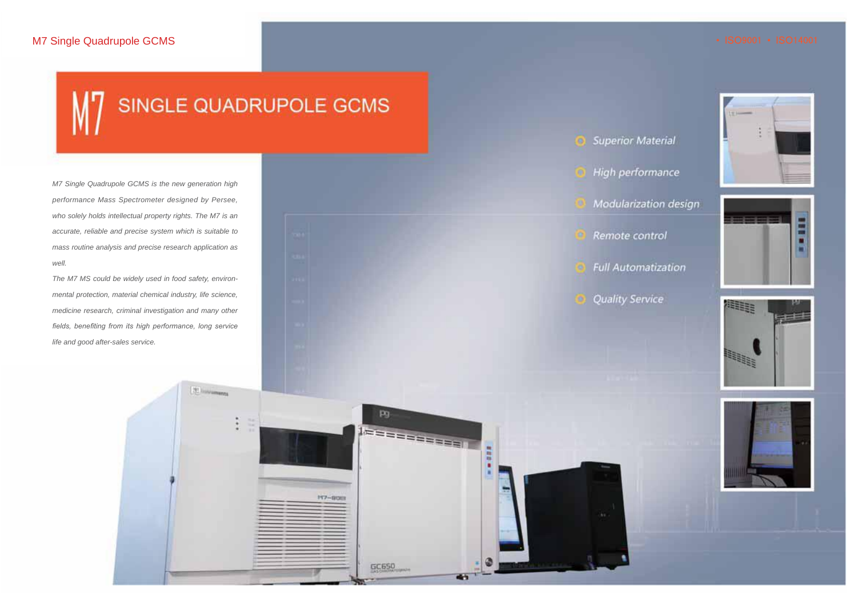## SINGLE QUADRUPOLE GCMS

[20 housemans

pg

GC650

 $147 - BUB$ 

1essassassell

⊕

 $\bullet$ 

*M7 Single Quadrupole GCMS is the new generation high performance Mass Spectrometer designed by Persee, who solely holds intellectual property rights. The M7 is an accurate, reliable and precise system which is suitable to mass routine analysis and precise research application as well.*

*The M7 MS could be widely used in food safety, environmental protection, material chemical industry, life science, medicine research, criminal investigation and many other fields, benefiting from its high performance, long service life and good after-sales service.*

**Superior Material** High performance

Modularization design



**Full Automatization** 

**Quality Service** 







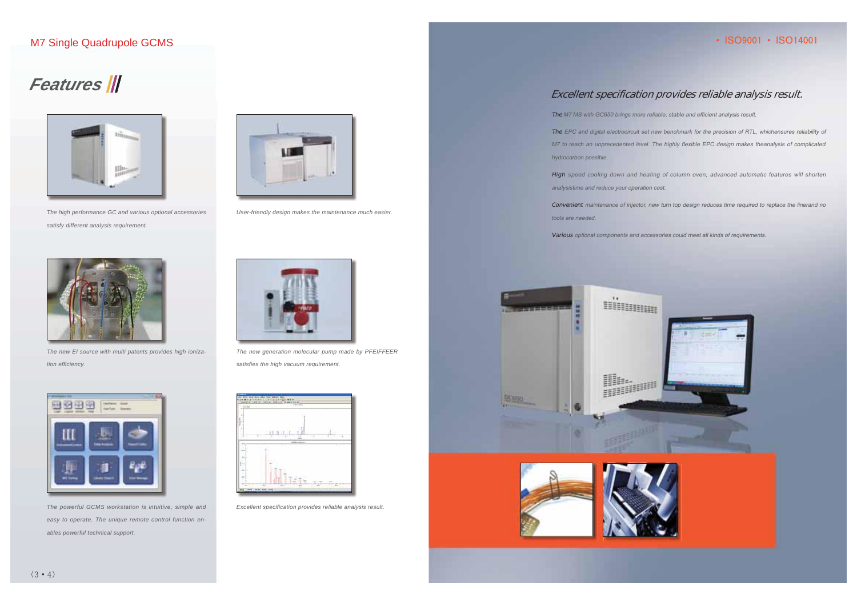#### • ISO9001 • ISO14001

## **Features**



The high performance GC and various optional accessories satisfy different analysis requirement.



The new EI source with multi patents provides high ionization efficiency.



The powerful GCMS workstation is intuitive, simple and easy to operate. The unique remote control function enables powerful technical support.



User-friendly design makes the maintenance much easier.



The new generation molecular pump made by PFEIFFEER satisfies the high vacuum requirement.



Excellent specification provides reliable analysis result.

#### Excellent specification provides reliable analysis result.

The M7 MS with GC650 brings more reliable, stable and efficient analysis result.

The EPC and digital electrocircuit set new benchmark for the precision of RTL, whichensures reliability of M7 to reach an unprecedented level. The highly flexible EPC design makes theanalysis of complicated hydrocarbon possible.

High speed cooling down and heating of column oven, advanced automatic features will shorten analysistime and reduce your operation cost.

Convenient maintenance of injector, new turn top design reduces time required to replace the linerand no tools are needed.

Various optional components and accessories could meet all kinds of requirements.

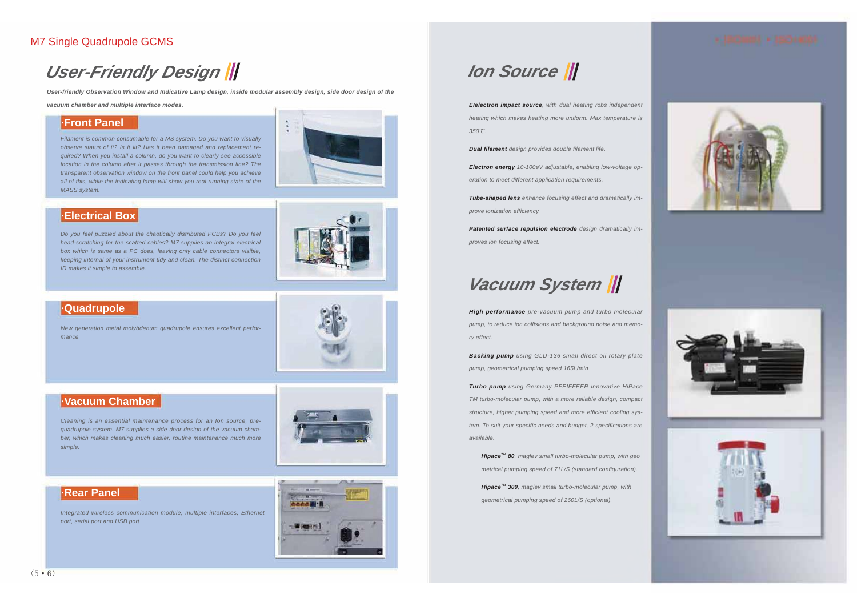## *User-Friendly Design*

*User-friendly Observation Window and Indicative Lamp design, inside modular assembly design, side door design of the* 

*vacuum chamber and multiple interface modes.*

#### **·Front Panel**

*Filament is common consumable for a MS system. Do you want to visually observe status of it? Is it lit? Has it been damaged and replacement required? When you install a column, do you want to clearly see accessible location in the column after it passes through the transmission line? The transparent observation window on the front panel could help you achieve all of this, while the indicating lamp will show you real running state of the MASS system.*



#### **·Electrical Box**

*Do you feel puzzled about the chaotically distributed PCBs? Do you feel head-scratching for the scatted cables? M7 supplies an integral electrical box which is same as a PC does, leaving only cable connectors visible, keeping internal of your instrument tidy and clean. The distinct connection ID makes it simple to assemble.*



#### **·Quadrupole**

*New generation metal molybdenum quadrupole ensures excellent performance.*

## **·Vacuum Chamber**

*Cleaning is an essential maintenance process for an Ion source, prequadrupole system. M7 supplies a side door design of the vacuum chamber, which makes cleaning much easier, routine maintenance much more simple.*



#### **·Rear Panel**

*Integrated wireless communication module, multiple interfaces, Ethernet port, serial port and USB port*



## *Ion Source*

*EIelectron impact source, with dual heating robs independent heating which makes heating more uniform. Max temperature is 350*ȭ*.*

*Dual filament design provides double filament life.*

*Electron energy 10-100eV adjustable, enabling low-voltage operation to meet different application requirements.*

*Tube-shaped lens enhance focusing effect and dramatically improve ionization efficiency.*

*Patented surface repulsion electrode design dramatically improves ion focusing effect.*

## *Vacuum System*

*High performance pre-vacuum pump and turbo molecular pump, to reduce ion collisions and background noise and memory effect.*

*Backing pump using GLD-136 small direct oil rotary plate pump, geometrical pumping speed 165L/min*

*Turbo pump using Germany PFEIFFEER innovative HiPace TM turbo-molecular pump, with a more reliable design, compact structure, higher pumping speed and more efficient cooling system. To suit your specific needs and budget, 2 specifications are available.*

*HipaceTM 80, maglev small turbo-molecular pump, with geo metrical pumping speed of 71L/S (standard configuration).*

*HipaceTM 300, maglev small turbo-molecular pump, with geometrical pumping speed of 260L/S (optional).*







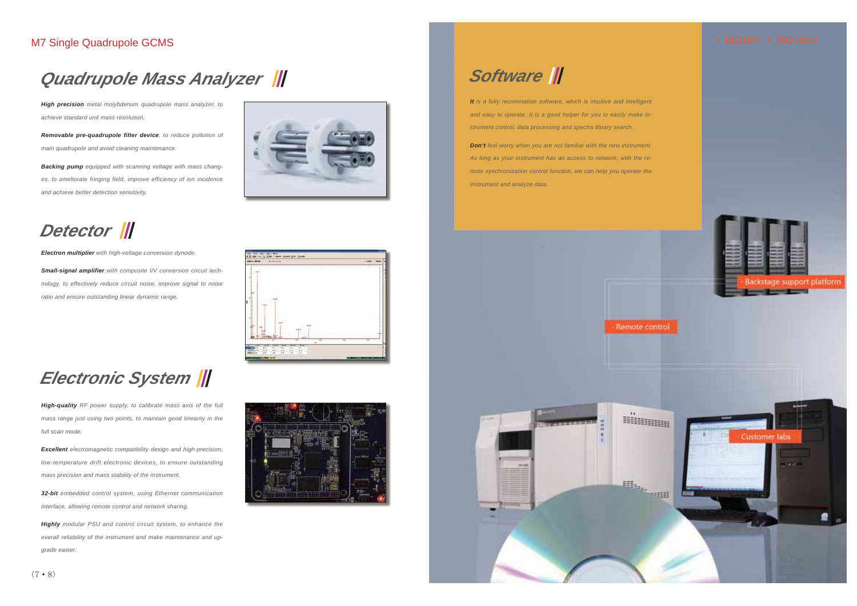## *Quadrupole Mass Analyzer*

*High precision metal molybdenum quadrupole mass analyzer, to achieve standard unit mass resolution.*

*Removable pre-quadrupole filter device, to reduce pollution of main quadrupole and avoid cleaning maintenance.*

*Backing pump equipped with scanning voltage with mass changes, to ameliorate fringing field, improve efficiency of ion incidence and achieve better detection sensitivity.*



## *Detector*

*Electron multiplier with high-voltage conversion dynode.*

*Small-signal amplifier with composite I/V conversion circuit technology, to effectively reduce circuit noise, improve signal to noise ratio and ensure outstanding linear dynamic range.*



## *Electronic System*

*High-quality RF power supply, to calibrate mass axis of the full mass range just using two points, to maintain good linearity in the full scan mode.*

*Excellent electromagnetic compatibility design and high-precision, low-temperature drift electronic devices, to ensure outstanding mass precision and mass stability of the instrument.*

*32-bit embedded control system, using Ethernet communication interface, allowing remote control and network sharing.*

*Highly modular PSU and control circuit system, to enhance the overall reliability of the instrument and make maintenance and upgrade easier.*



## *Software*

*It is a fully recrimination software, which is intuitive and intelligent and easy to operate. It is a good helper for you to easily make instrument control, data processing and spectra library search.*

*Don't* feel worry when you are not familiar with the new instrument. *As long as your instrument has an access to network, with the remote synchronization control function, we can help you operate the instrument and analyze data.*



Remote control